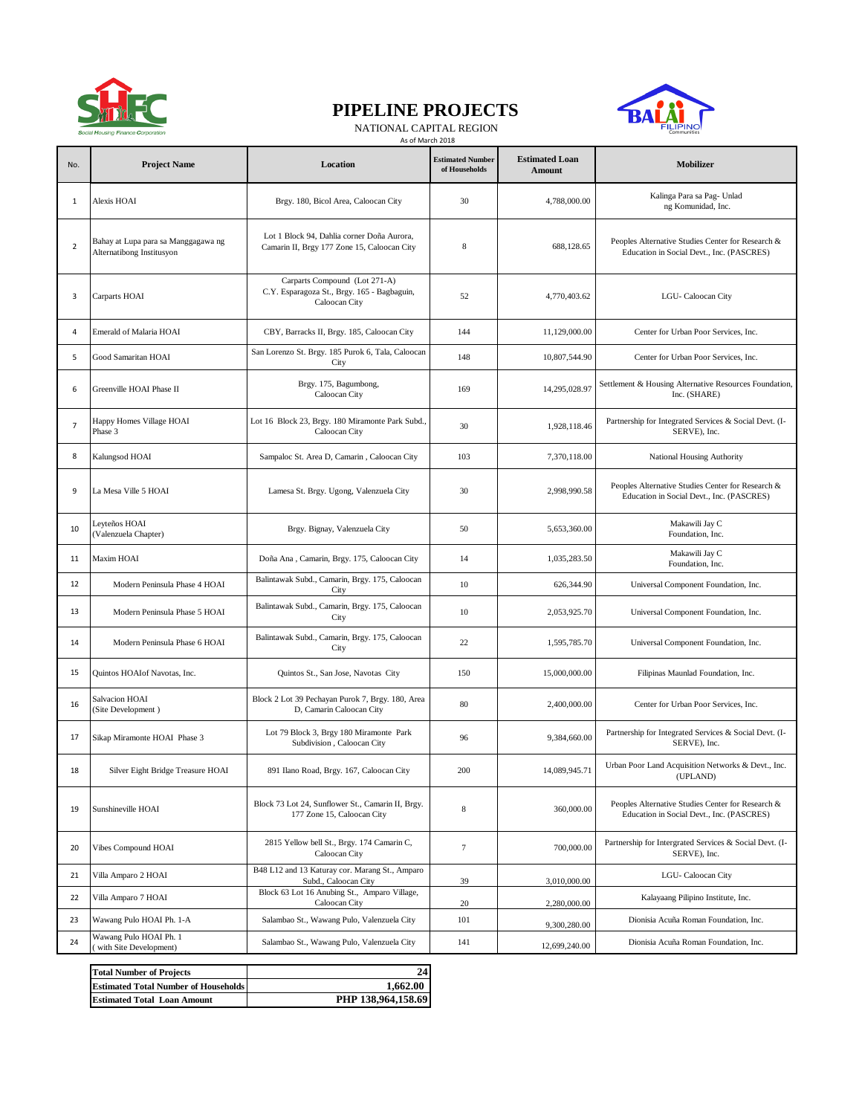

## **PIPELINE PROJECTS**



NATIONAL CAPITAL REGION

|                |                                                                  | As of March 2018                                                                              |                                          |                                 |                                                                                                |
|----------------|------------------------------------------------------------------|-----------------------------------------------------------------------------------------------|------------------------------------------|---------------------------------|------------------------------------------------------------------------------------------------|
| No.            | <b>Project Name</b>                                              | Location                                                                                      | <b>Estimated Number</b><br>of Households | <b>Estimated Loan</b><br>Amount | Mobilizer                                                                                      |
| 1              | Alexis HOAI                                                      | Brgy. 180, Bicol Area, Caloocan City                                                          | 30                                       | 4,788,000.00                    | Kalinga Para sa Pag- Unlad<br>ng Komunidad, Inc.                                               |
| $\overline{2}$ | Bahay at Lupa para sa Manggagawa ng<br>Alternatibong Institusyon | Lot 1 Block 94, Dahlia corner Doña Aurora,<br>Camarin II, Brgy 177 Zone 15, Caloocan City     | $8\phantom{1}$                           | 688,128.65                      | Peoples Alternative Studies Center for Research &<br>Education in Social Devt., Inc. (PASCRES) |
| 3              | Carparts HOAI                                                    | Carparts Compound (Lot 271-A)<br>C.Y. Esparagoza St., Brgy. 165 - Bagbaguin,<br>Caloocan City | 52                                       | 4,770,403.62                    | LGU-Caloocan City                                                                              |
| 4              | <b>Emerald of Malaria HOAI</b>                                   | CBY, Barracks II, Brgy. 185, Caloocan City                                                    | 144                                      | 11,129,000.00                   | Center for Urban Poor Services, Inc.                                                           |
| 5              | Good Samaritan HOAI                                              | San Lorenzo St. Brgy. 185 Purok 6, Tala, Caloocan<br>City                                     | 148                                      | 10,807,544.90                   | Center for Urban Poor Services, Inc.                                                           |
| 6              | Greenville HOAI Phase II                                         | Brgy. 175, Bagumbong,<br>Caloocan City                                                        | 169                                      | 14,295,028.97                   | Settlement & Housing Alternative Resources Foundation,<br>Inc. (SHARE)                         |
| $\overline{7}$ | Happy Homes Village HOAI<br>Phase 3                              | Lot 16 Block 23, Brgy. 180 Miramonte Park Subd.,<br>Caloocan City                             | 30                                       | 1,928,118.46                    | Partnership for Integrated Services & Social Devt. (I-<br>SERVE), Inc.                         |
| 8              | Kalungsod HOAI                                                   | Sampaloc St. Area D, Camarin, Caloocan City                                                   | 103                                      | 7.370.118.00                    | National Housing Authority                                                                     |
| 9              | La Mesa Ville 5 HOAI                                             | Lamesa St. Brgy. Ugong, Valenzuela City                                                       | 30                                       | 2,998,990.58                    | Peoples Alternative Studies Center for Research &<br>Education in Social Devt., Inc. (PASCRES) |
| 10             | Leyteños HOAI<br>(Valenzuela Chapter)                            | Brgy. Bignay, Valenzuela City                                                                 | 50                                       | 5,653,360.00                    | Makawili Jay C<br>Foundation, Inc.                                                             |
| 11             | Maxim HOAI                                                       | Doña Ana, Camarin, Brgy. 175, Caloocan City                                                   | 14                                       | 1,035,283.50                    | Makawili Jay C<br>Foundation, Inc.                                                             |
| 12             | Modern Peninsula Phase 4 HOAI                                    | Balintawak Subd., Camarin, Brgy. 175, Caloocan<br>City                                        | 10                                       | 626,344.90                      | Universal Component Foundation, Inc.                                                           |
| 13             | Modern Peninsula Phase 5 HOAI                                    | Balintawak Subd., Camarin, Brgy. 175, Caloocan<br>City                                        | 10                                       | 2,053,925.70                    | Universal Component Foundation, Inc.                                                           |
| 14             | Modern Peninsula Phase 6 HOAI                                    | Balintawak Subd., Camarin, Brgy. 175, Caloocan<br>City                                        | 22                                       | 1,595,785.70                    | Universal Component Foundation, Inc.                                                           |
| 15             | Quintos HOAIof Navotas, Inc.                                     | Quintos St., San Jose, Navotas City                                                           | 150                                      | 15,000,000.00                   | Filipinas Maunlad Foundation, Inc.                                                             |
| 16             | Salvacion HOAI<br>(Site Development)                             | Block 2 Lot 39 Pechayan Purok 7, Brgy. 180, Area<br>D, Camarin Caloocan City                  | 80                                       | 2,400,000.00                    | Center for Urban Poor Services, Inc.                                                           |
| $17\,$         | Sikap Miramonte HOAI Phase 3                                     | Lot 79 Block 3, Brgy 180 Miramonte Park<br>Subdivision, Caloocan City                         | 96                                       | 9,384,660.00                    | Partnership for Integrated Services & Social Devt. (I-<br>SERVE), Inc.                         |
| 18             | Silver Eight Bridge Treasure HOAI                                | 891 Ilano Road, Brgy. 167, Caloocan City                                                      | $200\,$                                  | 14,089,945.71                   | Urban Poor Land Acquisition Networks & Devt., Inc.<br>(UPLAND)                                 |
| 19             | Sunshineville HOAI                                               | Block 73 Lot 24, Sunflower St., Camarin II, Brgy.<br>177 Zone 15, Caloocan City               | $\,$ 8 $\,$                              | 360,000.00                      | Peoples Alternative Studies Center for Research &<br>Education in Social Devt., Inc. (PASCRES) |
| 20             | Vibes Compound HOAI                                              | 2815 Yellow bell St., Brgy. 174 Camarin C,<br>Caloocan City                                   | $\tau$                                   | 700,000.00                      | Partnership for Intergrated Services & Social Devt. (I-<br>SERVE), Inc.                        |
| 21             | Villa Amparo 2 HOAI                                              | B48 L12 and 13 Katuray cor. Marang St., Amparo<br>Subd., Caloocan City                        | 39                                       | 3,010,000.00                    | LGU-Caloocan City                                                                              |
| 22             | Villa Amparo 7 HOAI                                              | Block 63 Lot 16 Anubing St., Amparo Village,<br>Caloocan City                                 | 20                                       | 2,280,000.00                    | Kalayaang Pilipino Institute, Inc.                                                             |
| 23             | Wawang Pulo HOAI Ph. 1-A                                         | Salambao St., Wawang Pulo, Valenzuela City                                                    | 101                                      | 9,300,280.00                    | Dionisia Acuña Roman Foundation, Inc.                                                          |
| 24             | Wawang Pulo HOAI Ph. 1<br>(with Site Development)                | Salambao St., Wawang Pulo, Valenzuela City                                                    | 141                                      | 12,699,240.00                   | Dionisia Acuña Roman Foundation, Inc.                                                          |
|                |                                                                  |                                                                                               |                                          |                                 |                                                                                                |

| <b>Total Number of Projects</b>             |                    |
|---------------------------------------------|--------------------|
| <b>Estimated Total Number of Households</b> | 1.662.00           |
| <b>Estimated Total Loan Amount</b>          | PHP 138,964,158.69 |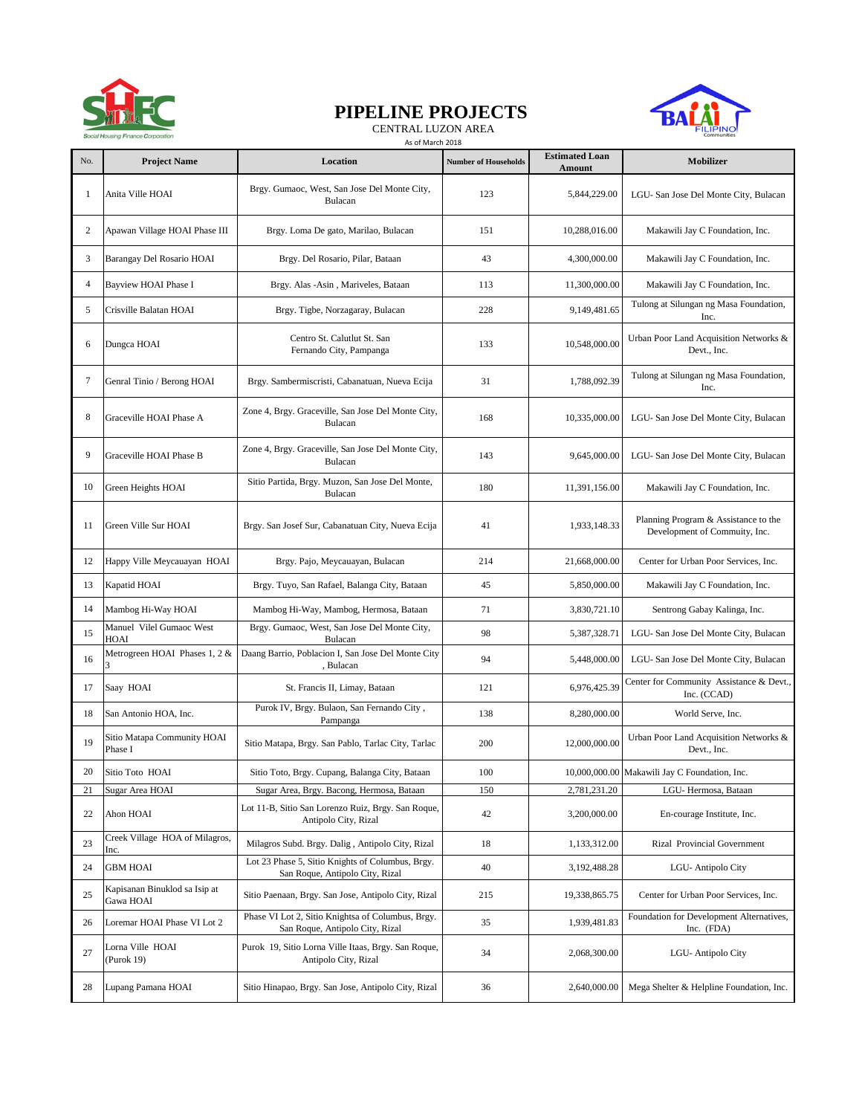

# **PIPELINE PROJECTS**

 CENTRAL LUZON AREA As of March 2018



| No. | <b>Project Name</b>                        | Location                                                                             | <b>Number of Households</b> | <b>Estimated Loan</b><br>Amount | Mobilizer                                                             |
|-----|--------------------------------------------|--------------------------------------------------------------------------------------|-----------------------------|---------------------------------|-----------------------------------------------------------------------|
| -1  | Anita Ville HOAI                           | Brgy. Gumaoc, West, San Jose Del Monte City,<br>Bulacan                              | 123                         | 5,844,229.00                    | LGU-San Jose Del Monte City, Bulacan                                  |
| 2   | Apawan Village HOAI Phase III              | Brgy. Loma De gato, Marilao, Bulacan                                                 | 151                         | 10,288,016.00                   | Makawili Jay C Foundation, Inc.                                       |
| 3   | Barangay Del Rosario HOAI                  | Brgy. Del Rosario, Pilar, Bataan                                                     | 43                          | 4,300,000.00                    | Makawili Jay C Foundation, Inc.                                       |
| 4   | Bayview HOAI Phase I                       | Brgy. Alas -Asin, Mariveles, Bataan                                                  | 113                         | 11,300,000.00                   | Makawili Jay C Foundation, Inc.                                       |
| 5   | Crisville Balatan HOAI                     | Brgy. Tigbe, Norzagaray, Bulacan                                                     | 228                         | 9,149,481.65                    | Tulong at Silungan ng Masa Foundation,<br>Inc.                        |
| 6   | Dungca HOAI                                | Centro St. Calutlut St. San<br>Fernando City, Pampanga                               | 133                         | 10,548,000.00                   | Urban Poor Land Acquisition Networks &<br>Devt., Inc.                 |
| 7   | Genral Tinio / Berong HOAI                 | Brgy. Sambermiscristi, Cabanatuan, Nueva Ecija                                       | 31                          | 1,788,092.39                    | Tulong at Silungan ng Masa Foundation,<br>Inc.                        |
| 8   | Graceville HOAI Phase A                    | Zone 4, Brgy. Graceville, San Jose Del Monte City,<br>Bulacan                        | 168                         | 10,335,000.00                   | LGU-San Jose Del Monte City, Bulacan                                  |
| 9   | Graceville HOAI Phase B                    | Zone 4, Brgy. Graceville, San Jose Del Monte City,<br>Bulacan                        | 143                         | 9,645,000.00                    | LGU-San Jose Del Monte City, Bulacan                                  |
| 10  | Green Heights HOAI                         | Sitio Partida, Brgy. Muzon, San Jose Del Monte,<br>Bulacan                           | 180                         | 11,391,156.00                   | Makawili Jay C Foundation, Inc.                                       |
| 11  | Green Ville Sur HOAI                       | Brgy. San Josef Sur, Cabanatuan City, Nueva Ecija                                    | 41                          | 1,933,148.33                    | Planning Program & Assistance to the<br>Development of Commuity, Inc. |
| 12  | Happy Ville Meycauayan HOAI                | Brgy. Pajo, Meycauayan, Bulacan                                                      | 214                         | 21,668,000.00                   | Center for Urban Poor Services, Inc.                                  |
| 13  | Kapatid HOAI                               | Brgy. Tuyo, San Rafael, Balanga City, Bataan                                         | 45                          | 5,850,000.00                    | Makawili Jay C Foundation, Inc.                                       |
| 14  | Mambog Hi-Way HOAI                         | Mambog Hi-Way, Mambog, Hermosa, Bataan                                               | 71                          | 3,830,721.10                    | Sentrong Gabay Kalinga, Inc.                                          |
| 15  | Manuel Vilel Gumaoc West<br>HOAI           | Brgy. Gumaoc, West, San Jose Del Monte City,<br>Bulacan                              | 98                          | 5,387,328.71                    | LGU-San Jose Del Monte City, Bulacan                                  |
| 16  | Metrogreen HOAI Phases 1, 2 &              | Daang Barrio, Poblacion I, San Jose Del Monte City<br>, Bulacan                      | 94                          | 5,448,000.00                    | LGU-San Jose Del Monte City, Bulacan                                  |
| 17  | Saay HOAI                                  | St. Francis II, Limay, Bataan                                                        | 121                         | 6,976,425.39                    | Center for Community Assistance & Devt.,<br>Inc. (CCAD)               |
| 18  | San Antonio HOA, Inc.                      | Purok IV, Brgy. Bulaon, San Fernando City,<br>Pampanga                               | 138                         | 8,280,000.00                    | World Serve, Inc.                                                     |
| 19  | Sitio Matapa Community HOAI<br>Phase I     | Sitio Matapa, Brgy. San Pablo, Tarlac City, Tarlac                                   | 200                         | 12,000,000.00                   | Urban Poor Land Acquisition Networks &<br>Devt., Inc.                 |
| 20  | Sitio Toto HOAI                            | Sitio Toto, Brgy. Cupang, Balanga City, Bataan                                       | 100                         |                                 | 10,000,000.00 Makawili Jay C Foundation, Inc.                         |
| 21  | Sugar Area HOAI                            | Sugar Area, Brgy. Bacong, Hermosa, Bataan                                            | 150                         | 2,781,231.20                    | LGU-Hermosa, Bataan                                                   |
| 22  | Ahon HOAI                                  | Lot 11-B, Sitio San Lorenzo Ruiz, Brgy. San Roque,<br>Antipolo City, Rizal           | 42                          | 3,200,000.00                    | En-courage Institute, Inc.                                            |
| 23  | Creek Village HOA of Milagros,<br>Inc.     | Milagros Subd. Brgy. Dalig, Antipolo City, Rizal                                     | 18                          | 1,133,312.00                    | Rizal Provincial Government                                           |
| 24  | <b>GBM HOAI</b>                            | Lot 23 Phase 5, Sitio Knights of Columbus, Brgy.<br>San Roque, Antipolo City, Rizal  | 40                          | 3,192,488.28                    | LGU-Antipolo City                                                     |
| 25  | Kapisanan Binuklod sa Isip at<br>Gawa HOAI | Sitio Paenaan, Brgy. San Jose, Antipolo City, Rizal                                  | 215                         | 19,338,865.75                   | Center for Urban Poor Services, Inc.                                  |
| 26  | Loremar HOAI Phase VI Lot 2                | Phase VI Lot 2, Sitio Knightsa of Columbus, Brgy.<br>San Roque, Antipolo City, Rizal | 35                          | 1,939,481.83                    | Foundation for Development Alternatives,<br>Inc. (FDA)                |
| 27  | Lorna Ville HOAI<br>(Purok 19)             | Purok 19, Sitio Lorna Ville Itaas, Brgy. San Roque,<br>Antipolo City, Rizal          | 34                          | 2,068,300.00                    | LGU-Antipolo City                                                     |
| 28  | Lupang Pamana HOAI                         | Sitio Hinapao, Brgy. San Jose, Antipolo City, Rizal                                  | 36                          | 2,640,000.00                    | Mega Shelter & Helpline Foundation, Inc.                              |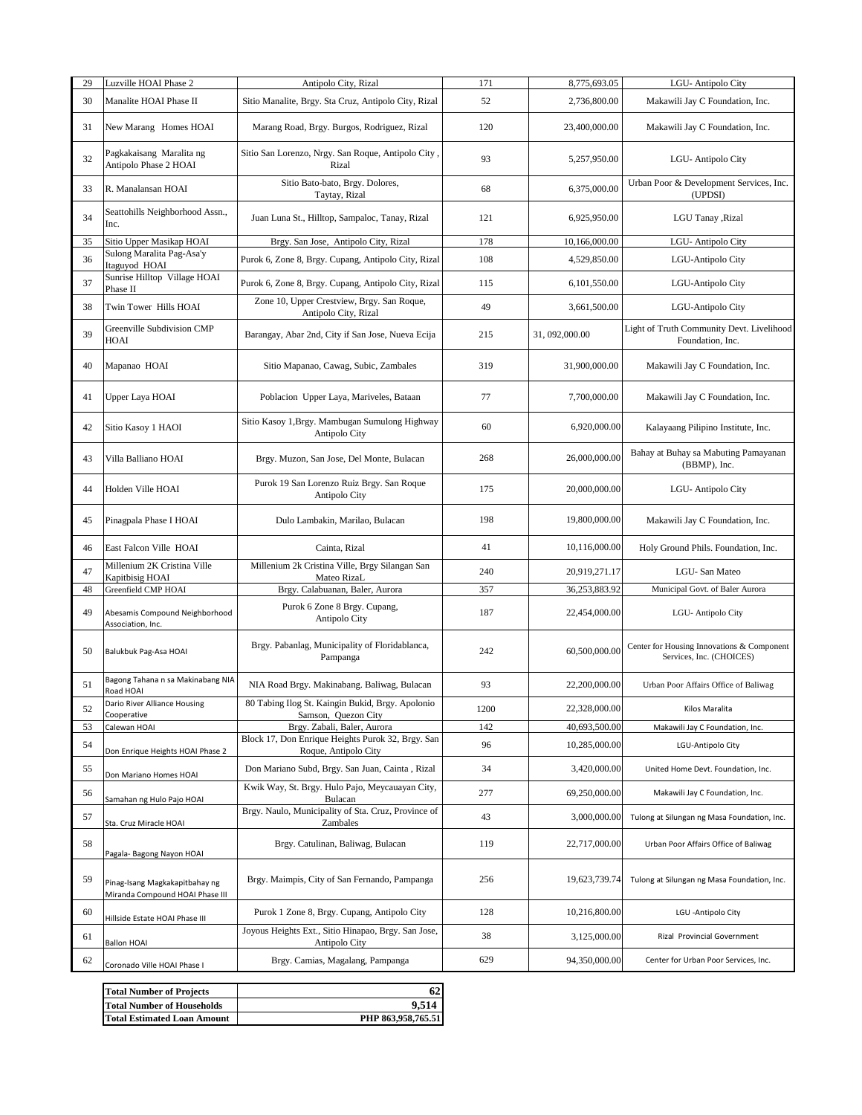| 29 | Luzville HOAI Phase 2                                             | Antipolo City, Rizal                                                      | 171  | 8,775,693.05   | LGU-Antipolo City                                                      |
|----|-------------------------------------------------------------------|---------------------------------------------------------------------------|------|----------------|------------------------------------------------------------------------|
| 30 | Manalite HOAI Phase II                                            | Sitio Manalite, Brgy. Sta Cruz, Antipolo City, Rizal                      | 52   | 2,736,800.00   | Makawili Jay C Foundation, Inc.                                        |
| 31 | New Marang Homes HOAI                                             | Marang Road, Brgy. Burgos, Rodriguez, Rizal                               | 120  | 23,400,000.00  | Makawili Jay C Foundation, Inc.                                        |
| 32 | Pagkakaisang Maralita ng<br>Antipolo Phase 2 HOAI                 | Sitio San Lorenzo, Nrgy. San Roque, Antipolo City,<br>Rizal               | 93   | 5,257,950.00   | LGU-Antipolo City                                                      |
| 33 | R. Manalansan HOAI                                                | Sitio Bato-bato, Brgy. Dolores,<br>Taytay, Rizal                          | 68   | 6,375,000.00   | Urban Poor & Development Services, Inc.<br>(UPDSI)                     |
| 34 | Seattohills Neighborhood Assn.,<br>Inc.                           | Juan Luna St., Hilltop, Sampaloc, Tanay, Rizal                            | 121  | 6,925,950.00   | LGU Tanay , Rizal                                                      |
| 35 | Sitio Upper Masikap HOAI                                          | Brgy. San Jose, Antipolo City, Rizal                                      | 178  | 10,166,000.00  | LGU-Antipolo City                                                      |
| 36 | Sulong Maralita Pag-Asa'y<br>Itaguyod HOAI                        | Purok 6, Zone 8, Brgy. Cupang, Antipolo City, Rizal                       | 108  | 4,529,850.00   | LGU-Antipolo City                                                      |
| 37 | Sunrise Hilltop Village HOAI<br>Phase II                          | Purok 6, Zone 8, Brgy. Cupang, Antipolo City, Rizal                       | 115  | 6,101,550.00   | LGU-Antipolo City                                                      |
| 38 | Twin Tower Hills HOAI                                             | Zone 10, Upper Crestview, Brgy. San Roque,<br>Antipolo City, Rizal        | 49   | 3,661,500.00   | LGU-Antipolo City                                                      |
| 39 | Greenville Subdivision CMP<br>HOAI                                | Barangay, Abar 2nd, City if San Jose, Nueva Ecija                         | 215  | 31, 092,000.00 | Light of Truth Community Devt. Livelihood<br>Foundation, Inc.          |
| 40 | Mapanao HOAI                                                      | Sitio Mapanao, Cawag, Subic, Zambales                                     | 319  | 31,900,000.00  | Makawili Jay C Foundation, Inc.                                        |
| 41 | Upper Laya HOAI                                                   | Poblacion Upper Laya, Mariveles, Bataan                                   | 77   | 7,700,000.00   | Makawili Jay C Foundation, Inc.                                        |
| 42 | Sitio Kasoy 1 HAOI                                                | Sitio Kasoy 1, Brgy. Mambugan Sumulong Highway<br>Antipolo City           | 60   | 6,920,000.00   | Kalayaang Pilipino Institute, Inc.                                     |
| 43 | Villa Balliano HOAI                                               | Brgy. Muzon, San Jose, Del Monte, Bulacan                                 | 268  | 26,000,000.00  | Bahay at Buhay sa Mabuting Pamayanan<br>(BBMP), Inc.                   |
| 44 | Holden Ville HOAI                                                 | Purok 19 San Lorenzo Ruiz Brgy. San Roque<br>Antipolo City                | 175  | 20,000,000.00  | LGU-Antipolo City                                                      |
| 45 | Pinagpala Phase I HOAI                                            | Dulo Lambakin, Marilao, Bulacan                                           | 198  | 19,800,000.00  | Makawili Jay C Foundation, Inc.                                        |
| 46 | East Falcon Ville HOAI                                            | Cainta, Rizal                                                             | 41   | 10,116,000.00  | Holy Ground Phils. Foundation, Inc.                                    |
| 47 | Millenium 2K Cristina Ville<br>Kapitbisig HOAI                    | Millenium 2k Cristina Ville, Brgy Silangan San<br>Mateo RizaL             | 240  | 20,919,271.17  | LGU-San Mateo                                                          |
| 48 | Greenfield CMP HOAI                                               | Brgy. Calabuanan, Baler, Aurora                                           | 357  | 36,253,883.92  | Municipal Govt. of Baler Aurora                                        |
| 49 | Abesamis Compound Neighborhood<br>Association, Inc.               | Purok 6 Zone 8 Brgy. Cupang,<br>Antipolo City                             | 187  | 22,454,000.00  | LGU-Antipolo City                                                      |
| 50 | Balukbuk Pag-Asa HOAI                                             | Brgy. Pabanlag, Municipality of Floridablanca,<br>Pampanga                | 242  | 60,500,000.00  | Center for Housing Innovations & Component<br>Services, Inc. (CHOICES) |
| 51 | Bagong Tahana n sa Makinabang NIA<br>Road HOAI                    | NIA Road Brgy. Makinabang. Baliwag, Bulacan                               | 93   | 22,200,000.00  | Urban Poor Affairs Office of Baliwag                                   |
| 52 | Dario River Alliance Housing<br>Cooperative                       | 80 Tabing Ilog St. Kaingin Bukid, Brgy. Apolonio<br>Samson, Quezon City   | 1200 | 22,328,000.00  | Kilos Maralita                                                         |
| 53 | Calewan HOAI                                                      | Brgy. Zabali, Baler, Aurora                                               | 142  | 40,693,500.00  | Makawili Jay C Foundation, Inc.                                        |
| 54 | Don Enrique Heights HOAI Phase 2                                  | Block 17, Don Enrique Heights Purok 32, Brgy. San<br>Roque, Antipolo City | 96   | 10,285,000.00  | LGU-Antipolo City                                                      |
| 55 | Don Mariano Homes HOAI                                            | Don Mariano Subd, Brgy. San Juan, Cainta, Rizal                           | 34   | 3,420,000.00   | United Home Devt. Foundation, Inc.                                     |
| 56 | Samahan ng Hulo Pajo HOAI                                         | Kwik Way, St. Brgy. Hulo Pajo, Meycauayan City,<br>Bulacan                | 277  | 69,250,000.00  | Makawili Jay C Foundation, Inc.                                        |
| 57 | Sta. Cruz Miracle HOAI                                            | Brgy. Naulo, Municipality of Sta. Cruz, Province of<br>Zambales           | 43   | 3,000,000.00   | Tulong at Silungan ng Masa Foundation, Inc.                            |
| 58 | Pagala- Bagong Nayon HOAI                                         | Brgy. Catulinan, Baliwag, Bulacan                                         | 119  | 22,717,000.00  | Urban Poor Affairs Office of Baliwag                                   |
| 59 | Pinag-Isang Magkakapitbahay ng<br>Miranda Compound HOAI Phase III | Brgy. Maimpis, City of San Fernando, Pampanga                             | 256  | 19,623,739.74  | Tulong at Silungan ng Masa Foundation, Inc.                            |
| 60 | Hillside Estate HOAI Phase III                                    | Purok 1 Zone 8, Brgy. Cupang, Antipolo City                               | 128  | 10,216,800.00  | LGU - Antipolo City                                                    |
| 61 | <b>Ballon HOAI</b>                                                | Joyous Heights Ext., Sitio Hinapao, Brgy. San Jose,<br>Antipolo City      | 38   | 3,125,000.00   | Rizal Provincial Government                                            |
| 62 | Coronado Ville HOAI Phase I                                       | Brgy. Camias, Magalang, Pampanga                                          | 629  | 94,350,000.00  | Center for Urban Poor Services, Inc.                                   |

| <b>Total Number of Projects</b>    |                    |
|------------------------------------|--------------------|
| <b>Total Number of Households</b>  | 9.514              |
| <b>Total Estimated Loan Amount</b> | PHP 863.958.765.51 |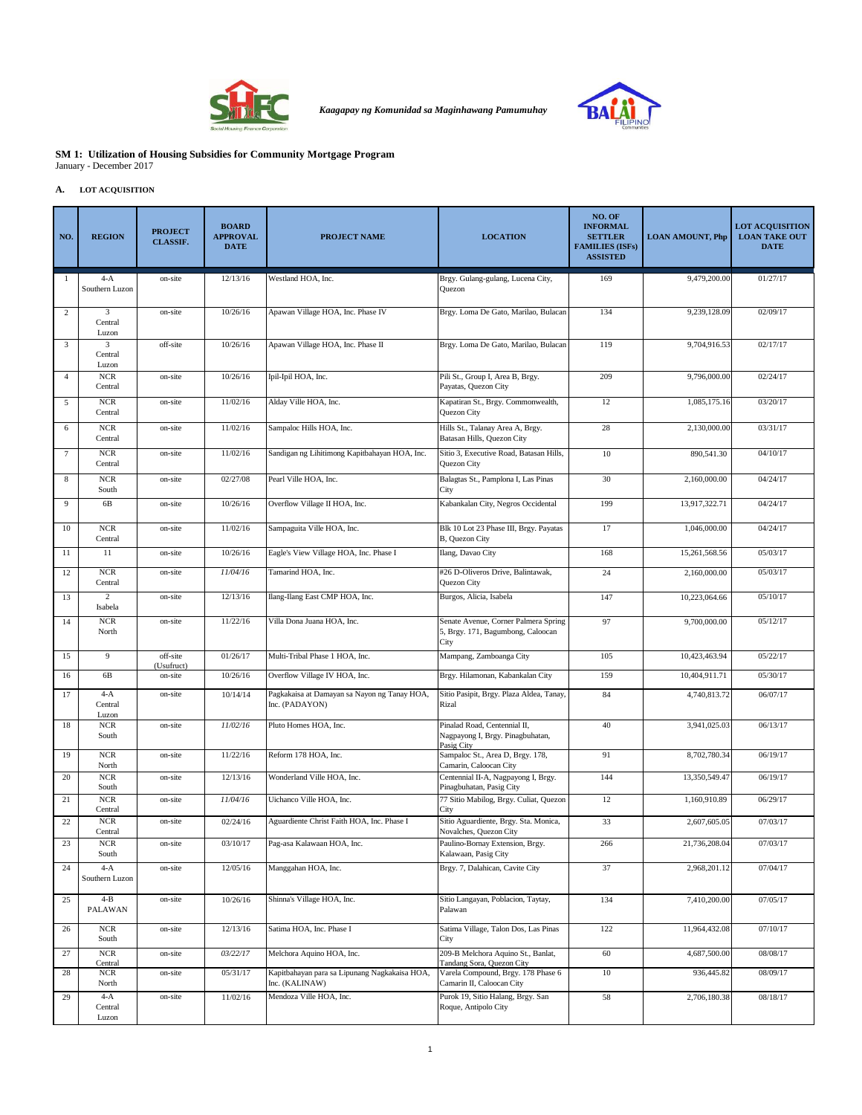

*Kaagapay ng Komunidad sa Maginhawang Pamumuhay*



#### **SM 1: Utilization of Housing Subsidies for Community Mortgage Program** January - December 2017

#### **A. LOT ACQUISITION**

| NO.            | <b>REGION</b>                    | <b>PROJECT</b><br><b>CLASSIF.</b> | <b>BOARD</b><br><b>APPROVAL</b><br><b>DATE</b> | <b>PROJECT NAME</b>                                             | <b>LOCATION</b>                                                                   | NO. OF<br><b>INFORMAL</b><br><b>SETTLER</b><br><b>FAMILIES (ISFs)</b><br><b>ASSISTED</b> | <b>LOAN AMOUNT, Php</b> | <b>LOT ACQUISITION</b><br><b>LOAN TAKE OUT</b><br><b>DATE</b> |
|----------------|----------------------------------|-----------------------------------|------------------------------------------------|-----------------------------------------------------------------|-----------------------------------------------------------------------------------|------------------------------------------------------------------------------------------|-------------------------|---------------------------------------------------------------|
| 1              | $4-A$<br>Southern Luzon          | on-site                           | 12/13/16                                       | Westland HOA, Inc.                                              | Brgy. Gulang-gulang, Lucena City,<br>Quezon                                       | 169                                                                                      | 9,479,200.00            | 01/27/17                                                      |
| 2              | 3<br>Central<br>Luzon            | on-site                           | 10/26/16                                       | Apawan Village HOA, Inc. Phase IV                               | Brgy. Loma De Gato, Marilao, Bulacan                                              | 134                                                                                      | 9,239,128.09            | 02/09/17                                                      |
| 3              | $\mathbf{3}$<br>Central<br>Luzon | off-site                          | 10/26/16                                       | Apawan Village HOA, Inc. Phase II                               | Brgy. Loma De Gato, Marilao, Bulacan                                              | 119                                                                                      | 9,704,916.53            | 02/17/17                                                      |
| $\overline{4}$ | $_{\rm NCR}$<br>Central          | on-site                           | 10/26/16                                       | Ipil-Ipil HOA, Inc.                                             | Pili St., Group I, Area B, Brgy.<br>Payatas, Quezon City                          | 209                                                                                      | 9,796,000.00            | 02/24/17                                                      |
| 5              | <b>NCR</b><br>Central            | on-site                           | 11/02/16                                       | Alday Ville HOA, Inc.                                           | Kapatiran St., Brgy. Commonwealth,<br>Quezon City                                 | 12                                                                                       | 1.085.175.16            | 03/20/17                                                      |
| 6              | <b>NCR</b><br>Central            | on-site                           | 11/02/16                                       | Sampaloc Hills HOA, Inc.                                        | Hills St., Talanay Area A, Brgy.<br>Batasan Hills, Quezon City                    | 28                                                                                       | 2,130,000.00            | 03/31/17                                                      |
| $\tau$         | <b>NCR</b><br>Central            | on-site                           | 11/02/16                                       | Sandigan ng Lihitimong Kapitbahayan HOA, Inc.                   | Sitio 3, Executive Road, Batasan Hills,<br>Quezon City                            | 10                                                                                       | 890,541.30              | 04/10/17                                                      |
| $\,$ 8 $\,$    | $_{\rm NCR}$<br>South            | on-site                           | 02/27/08                                       | Pearl Ville HOA, Inc.                                           | Balagtas St., Pamplona I, Las Pinas<br>City                                       | 30                                                                                       | 2,160,000.00            | 04/24/17                                                      |
| 9              | 6B                               | on-site                           | 10/26/16                                       | Overflow Village II HOA, Inc.                                   | Kabankalan City, Negros Occidental                                                | 199                                                                                      | 13.917.322.71           | 04/24/17                                                      |
| 10             | $_{\rm NCR}$<br>Central          | on-site                           | 11/02/16                                       | Sampaguita Ville HOA, Inc.                                      | Blk 10 Lot 23 Phase III, Brgy. Payatas<br>B, Quezon City                          | 17                                                                                       | 1,046,000.00            | 04/24/17                                                      |
| 11             | 11                               | on-site                           | 10/26/16                                       | Eagle's View Village HOA, Inc. Phase I                          | Ilang, Davao City                                                                 | 168                                                                                      | 15,261,568.56           | 05/03/17                                                      |
| 12             | $_{\rm NCR}$<br>Central          | on-site                           | 11/04/16                                       | Tamarind HOA, Inc.                                              | #26 D-Oliveros Drive, Balintawak,<br>Quezon City                                  | 24                                                                                       | 2,160,000.00            | 05/03/17                                                      |
| 13             | 2<br>Isabela                     | on-site                           | 12/13/16                                       | Ilang-Ilang East CMP HOA, Inc.                                  | Burgos, Alicia, Isabela                                                           | 147                                                                                      | 10,223,064.66           | 05/10/17                                                      |
| 14             | <b>NCR</b><br>North              | on-site                           | 11/22/16                                       | Villa Dona Juana HOA, Inc.                                      | Senate Avenue, Corner Palmera Spring<br>5, Brgy. 171, Bagumbong, Caloocan<br>City | 97                                                                                       | 9,700,000.00            | 05/12/17                                                      |
| 15             | 9                                | off-site<br>(Usufruct)            | 01/26/17                                       | Multi-Tribal Phase 1 HOA, Inc.                                  | Mampang, Zamboanga City                                                           | 105                                                                                      | 10,423,463.94           | 05/22/17                                                      |
| 16             | 6B                               | on-site                           | 10/26/16                                       | Overflow Village IV HOA, Inc.                                   | Brgy. Hilamonan, Kabankalan City                                                  | 159                                                                                      | 10,404,911.71           | 05/30/17                                                      |
| 17             | $4-A$<br>Central<br>Luzon        | on-site                           | 10/14/14                                       | Pagkakaisa at Damayan sa Nayon ng Tanay HOA,<br>Inc. (PADAYON)  | Sitio Pasipit, Brgy. Plaza Aldea, Tanay,<br>Rizal                                 | 84                                                                                       | 4,740,813.72            | 06/07/17                                                      |
| 18             | <b>NCR</b><br>South              | on-site                           | 11/02/16                                       | Pluto Homes HOA, Inc.                                           | Pinalad Road, Centennial II,<br>Nagpayong I, Brgy. Pinagbuhatan,<br>Pasig City    | 40                                                                                       | 3,941,025.03            | 06/13/17                                                      |
| 19             | $_{\rm NCR}$<br>North            | on-site                           | 11/22/16                                       | Reform 178 HOA, Inc.                                            | Sampaloc St., Area D, Brgy. 178,<br>Camarin, Caloocan City                        | 91                                                                                       | 8,702,780.34            | 06/19/17                                                      |
| 20             | <b>NCR</b><br>South              | on-site                           | 12/13/16                                       | Wonderland Ville HOA, Inc.                                      | Centennial II-A, Nagpayong I, Brgy.<br>Pinagbuhatan, Pasig City                   | 144                                                                                      | 13,350,549.47           | 06/19/17                                                      |
| 21             | $_{\rm NCR}$<br>Central          | on-site                           | 11/04/16                                       | Uichanco Ville HOA, Inc.                                        | 77 Sitio Mabilog, Brgy. Culiat, Quezon<br>City                                    | 12                                                                                       | 1.160.910.89            | 06/29/17                                                      |
| 22             | $_{\rm NCR}$<br>Central          | on-site                           | 02/24/16                                       | Aguardiente Christ Faith HOA, Inc. Phase I                      | Sitio Aguardiente, Brgy. Sta. Monica,<br>Novalches, Quezon City                   | 33                                                                                       | 2,607,605.05            | 07/03/17                                                      |
| 23             | <b>NCR</b><br>South              | on-site                           | 03/10/17                                       | Pag-asa Kalawaan HOA, Inc.                                      | Paulino-Bornay Extension, Brgy.<br>Kalawaan, Pasig City                           | 266                                                                                      | 21,736,208.04           | 07/03/17                                                      |
| 24             | $4-A$<br>Southern Luzon          | on-site                           | 12/05/16                                       | Manggahan HOA, Inc.                                             | Brgy. 7, Dalahican, Cavite City                                                   | 37                                                                                       | 2,968,201.12            | 07/04/17                                                      |
| 25             | $4 - B$<br>PALAWAN               | on-site                           | 10/26/16                                       | Shinna's Village HOA, Inc.                                      | Sitio Langayan, Poblacion, Taytay,<br>Palawan                                     | 134                                                                                      | 7,410,200.00            | 07/05/17                                                      |
| 26             | $_{\rm NCR}$<br>South            | on-site                           | 12/13/16                                       | Satima HOA, Inc. Phase I                                        | Satima Village, Talon Dos, Las Pinas<br>City                                      | 122                                                                                      | 11,964,432.08           | 07/10/17                                                      |
| 27             | $NCR$<br>Central                 | on-site                           | 03/22/17                                       | Melchora Aquino HOA, Inc.                                       | 209-B Melchora Aquino St., Banlat,<br>Tandang Sora, Quezon City                   | 60                                                                                       | 4,687,500.00            | 08/08/17                                                      |
| 28             | <b>NCR</b><br>North              | on-site                           | 05/31/17                                       | Kapitbahayan para sa Lipunang Nagkakaisa HOA,<br>Inc. (KALINAW) | Varela Compound, Brgy. 178 Phase 6<br>Camarin II, Caloocan City                   | $10\,$                                                                                   | 936,445.82              | 08/09/17                                                      |
| 29             | $4-A$<br>Central<br>Luzon        | on-site                           | 11/02/16                                       | Mendoza Ville HOA, Inc.                                         | Purok 19, Sitio Halang, Brgy. San<br>Roque, Antipolo City                         | 58                                                                                       | 2,706,180.38            | 08/18/17                                                      |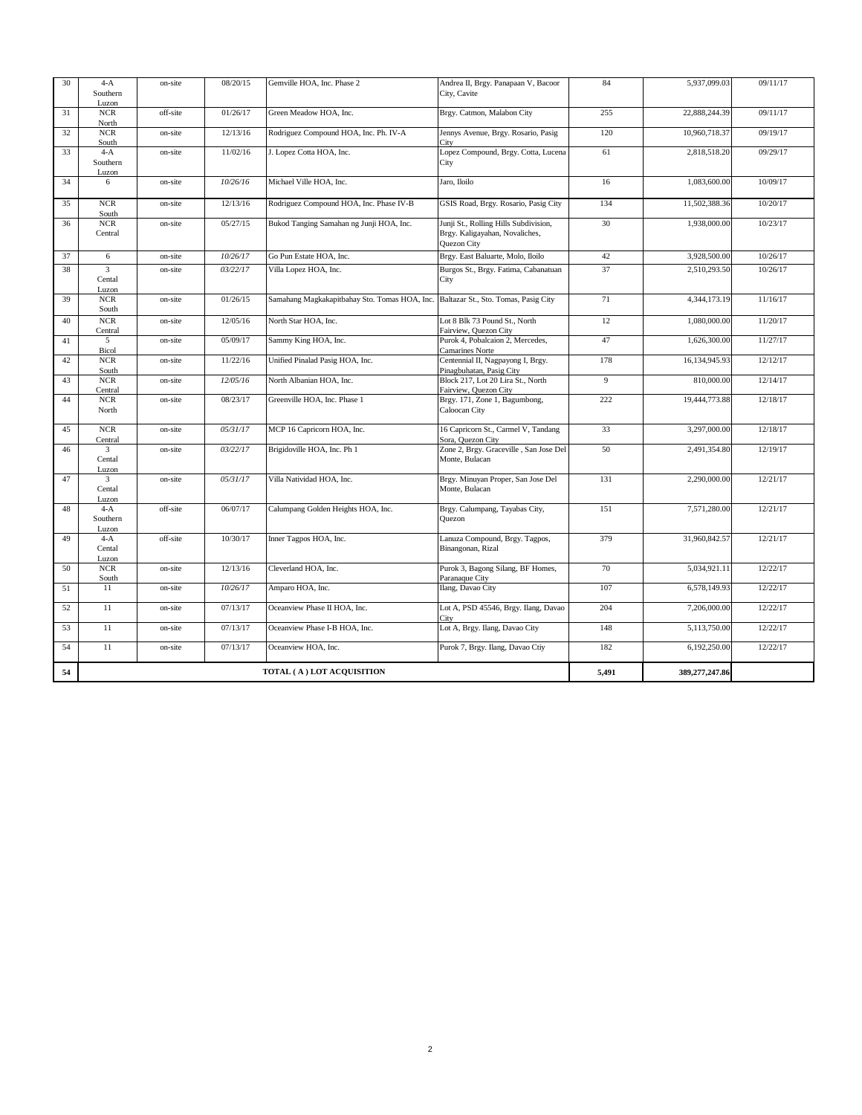| 30 | $4-A$<br>Southern<br>Luzon                 | on-site  | 08/20/15 | Gemville HOA, Inc. Phase 2                                                         | Andrea II, Brgy. Panapaan V, Bacoor<br>City, Cavite                                    | 84    | 5,937,099.03   | 09/11/17 |
|----|--------------------------------------------|----------|----------|------------------------------------------------------------------------------------|----------------------------------------------------------------------------------------|-------|----------------|----------|
| 31 | <b>NCR</b><br>North                        | off-site | 01/26/17 | Green Meadow HOA. Inc.                                                             | Brgy. Catmon, Malabon City                                                             | 255   | 22.888.244.39  | 09/11/17 |
| 32 | $NCR$<br>South                             | on-site  | 12/13/16 | Rodriguez Compound HOA, Inc. Ph. IV-A                                              | Jennys Avenue, Brgy. Rosario, Pasig<br>City                                            | 120   | 10,960,718.37  | 09/19/17 |
| 33 | $4-A$<br>Southern<br>Luzon                 | on-site  | 11/02/16 | J. Lopez Cotta HOA, Inc.                                                           | Lopez Compound, Brgy. Cotta, Lucena<br>City                                            | 61    | 2,818,518.20   | 09/29/17 |
| 34 | 6                                          | on-site  | 10/26/16 | Michael Ville HOA, Inc.                                                            | Jaro, Iloilo                                                                           | 16    | 1,083,600.00   | 10/09/17 |
| 35 | NCR<br>South                               | on-site  | 12/13/16 | Rodriguez Compound HOA, Inc. Phase IV-B                                            | GSIS Road, Brgy. Rosario, Pasig City                                                   | 134   | 11,502,388.36  | 10/20/17 |
| 36 | $NCR$<br>Central                           | on-site  | 05/27/15 | Bukod Tanging Samahan ng Junji HOA, Inc.                                           | Junji St., Rolling Hills Subdivision,<br>Brgy. Kaligayahan, Novaliches,<br>Quezon City | 30    | 1,938,000.00   | 10/23/17 |
| 37 | 6                                          | on-site  | 10/26/17 | Go Pun Estate HOA, Inc.                                                            | Brgy. East Baluarte, Molo, Iloilo                                                      | 42    | 3,928,500.00   | 10/26/17 |
| 38 | $\overline{\mathbf{3}}$<br>Cental<br>Luzon | on-site  | 03/22/17 | Villa Lopez HOA, Inc.                                                              | Burgos St., Brgy. Fatima, Cabanatuan<br>City                                           | 37    | 2,510,293.50   | 10/26/17 |
| 39 | <b>NCR</b><br>South                        | on-site  | 01/26/15 | Samahang Magkakapitbahay Sto. Tomas HOA, Inc. Baltazar St., Sto. Tomas, Pasig City |                                                                                        | 71    | 4,344,173.19   | 11/16/17 |
| 40 | NCR<br>Central                             | on-site  | 12/05/16 | North Star HOA, Inc.                                                               | Lot 8 Blk 73 Pound St., North<br>Fairview, Quezon City                                 | 12    | 1,080,000.00   | 11/20/17 |
| 41 | 5<br>Bicol                                 | on-site  | 05/09/17 | Sammy King HOA, Inc.                                                               | Purok 4, Pobalcaion 2, Mercedes,<br>Camarines Norte                                    | 47    | 1,626,300.00   | 11/27/17 |
| 42 | <b>NCR</b><br>South                        | on-site  | 11/22/16 | Unified Pinalad Pasig HOA, Inc.                                                    | Centennial II, Nagpayong I, Brgy.<br>Pinagbuhatan, Pasig City                          | 178   | 16,134,945.93  | 12/12/17 |
| 43 | <b>NCR</b><br>Central                      | on-site  | 12/05/16 | North Albanian HOA, Inc.                                                           | Block 217, Lot 20 Lira St., North<br>Fairview, Quezon City                             | 9     | 810,000.00     | 12/14/17 |
| 44 | <b>NCR</b><br>North                        | on-site  | 08/23/17 | Greenville HOA, Inc. Phase 1                                                       | Brgy. 171, Zone 1, Bagumbong,<br>Caloocan City                                         | 222   | 19,444,773.88  | 12/18/17 |
| 45 | <b>NCR</b><br>Central                      | on-site  | 05/31/17 | MCP 16 Capricorn HOA, Inc.                                                         | 16 Capricorn St., Carmel V, Tandang<br>Sora, Quezon City                               | 33    | 3,297,000.00   | 12/18/17 |
| 46 | 3<br>Cental<br>Luzon                       | on-site  | 03/22/17 | Brigidoville HOA, Inc. Ph 1                                                        | Zone 2, Brgy. Graceville, San Jose Del<br>Monte, Bulacan                               | 50    | 2,491,354.80   | 12/19/17 |
| 47 | 3<br>Cental<br>Luzon                       | on-site  | 05/31/17 | Villa Natividad HOA, Inc.                                                          | Brgy. Minuyan Proper, San Jose Del<br>Monte, Bulacan                                   | 131   | 2,290,000.00   | 12/21/17 |
| 48 | $4-A$<br>Southern<br>Luzon                 | off-site | 06/07/17 | Calumpang Golden Heights HOA, Inc.                                                 | Brgy. Calumpang, Tayabas City,<br>Quezon                                               | 151   | 7,571,280.00   | 12/21/17 |
| 49 | $4-A$<br>Cental<br>Luzon                   | off-site | 10/30/17 | Inner Tagpos HOA, Inc.                                                             | Lanuza Compound, Brgy. Tagpos,<br>Binangonan, Rizal                                    | 379   | 31,960,842.57  | 12/21/17 |
| 50 | <b>NCR</b><br>South                        | on-site  | 12/13/16 | Cleverland HOA, Inc.                                                               | Purok 3, Bagong Silang, BF Homes,<br>Paranaque City                                    | 70    | 5,034,921.11   | 12/22/17 |
| 51 | 11                                         | on-site  | 10/26/17 | Amparo HOA, Inc.                                                                   | Ilang, Davao City                                                                      | 107   | 6,578,149.93   | 12/22/17 |
| 52 | 11                                         | on-site  | 07/13/17 | Oceanview Phase II HOA, Inc.                                                       | Lot A, PSD 45546, Brgy. Ilang, Davao<br>City                                           | 204   | 7,206,000.00   | 12/22/17 |
| 53 | 11                                         | on-site  | 07/13/17 | Oceanview Phase I-B HOA, Inc.                                                      | Lot A, Brgy. Ilang, Davao City                                                         | 148   | 5,113,750.00   | 12/22/17 |
| 54 | 11                                         | on-site  | 07/13/17 | Oceanview HOA, Inc.                                                                | Purok 7, Brgy. Ilang, Davao Ctiy                                                       | 182   | 6,192,250.00   | 12/22/17 |
| 54 | TOTAL (A) LOT ACQUISITION                  |          |          |                                                                                    |                                                                                        | 5,491 | 389,277,247.86 |          |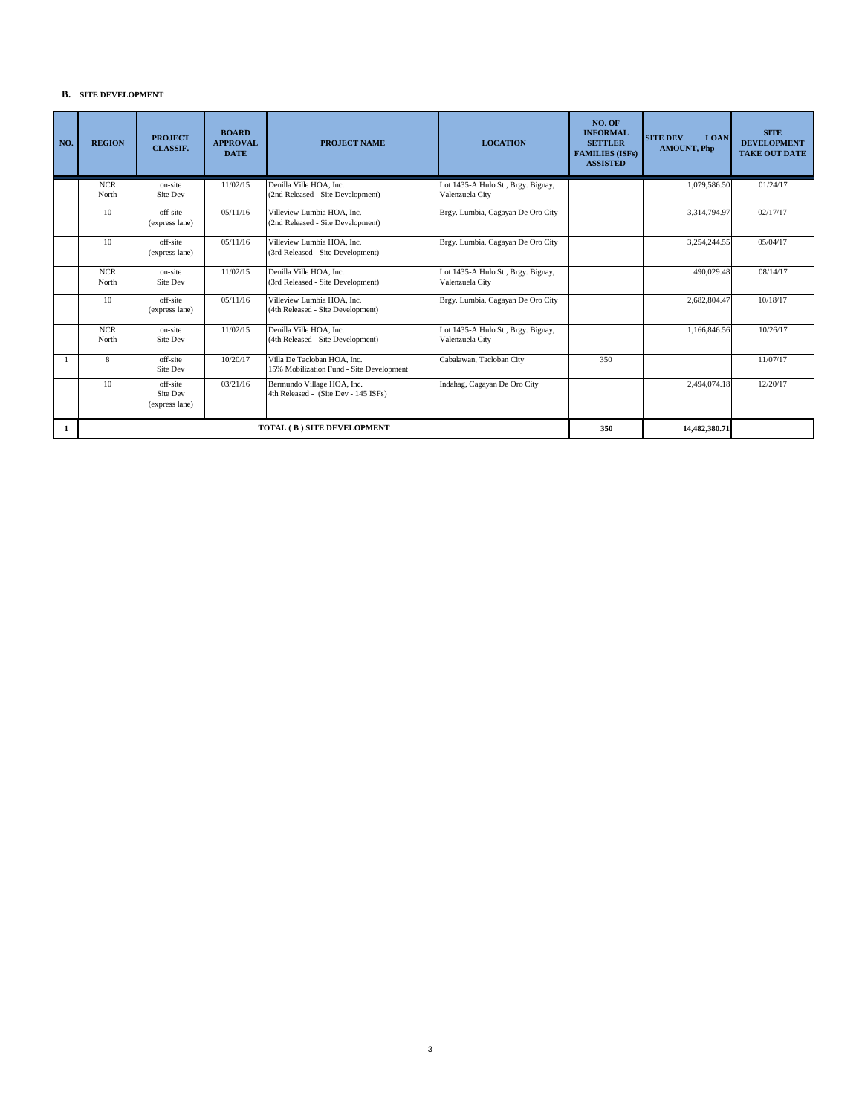## **B. SITE DEVELOPMENT**

| NO. | <b>REGION</b>       | <b>PROJECT</b><br><b>CLASSIF.</b>      | <b>BOARD</b><br><b>APPROVAL</b><br><b>DATE</b> | <b>PROJECT NAME</b>                                                     | <b>LOCATION</b>                                       | NO. OF<br><b>INFORMAL</b><br><b>SETTLER</b><br><b>FAMILIES (ISFs)</b><br><b>ASSISTED</b> | <b>SITE DEV</b><br><b>LOAN</b><br><b>AMOUNT, Php</b> | <b>SITE</b><br><b>DEVELOPMENT</b><br><b>TAKE OUT DATE</b> |
|-----|---------------------|----------------------------------------|------------------------------------------------|-------------------------------------------------------------------------|-------------------------------------------------------|------------------------------------------------------------------------------------------|------------------------------------------------------|-----------------------------------------------------------|
|     | <b>NCR</b><br>North | on-site<br>Site Dev                    | 11/02/15                                       | Denilla Ville HOA, Inc.<br>(2nd Released - Site Development)            | Lot 1435-A Hulo St., Brgy. Bignay,<br>Valenzuela City |                                                                                          | 1,079,586.50                                         | 01/24/17                                                  |
|     | 10                  | off-site<br>(express lane)             | 05/11/16                                       | Villeview Lumbia HOA. Inc.<br>(2nd Released - Site Development)         | Brgy. Lumbia, Cagayan De Oro City                     |                                                                                          | 3,314,794.97                                         | 02/17/17                                                  |
|     | 10                  | off-site<br>(express lane)             | 05/11/16                                       | Villeview Lumbia HOA, Inc.<br>(3rd Released - Site Development)         | Brgy. Lumbia, Cagayan De Oro City                     |                                                                                          | 3,254,244.55                                         | 05/04/17                                                  |
|     | <b>NCR</b><br>North | on-site<br>Site Dev                    | 11/02/15                                       | Denilla Ville HOA, Inc.<br>(3rd Released - Site Development)            | Lot 1435-A Hulo St., Brgy. Bignay,<br>Valenzuela City |                                                                                          | 490,029.48                                           | 08/14/17                                                  |
|     | 10                  | off-site<br>(express lane)             | 05/11/16                                       | Villeview Lumbia HOA, Inc.<br>(4th Released - Site Development)         | Brgy. Lumbia, Cagayan De Oro City                     |                                                                                          | 2,682,804.47                                         | 10/18/17                                                  |
|     | <b>NCR</b><br>North | on-site<br>Site Dev                    | 11/02/15                                       | Denilla Ville HOA, Inc.<br>(4th Released - Site Development)            | Lot 1435-A Hulo St., Brgy. Bignay,<br>Valenzuela City |                                                                                          | 1,166,846.56                                         | 10/26/17                                                  |
|     | 8                   | off-site<br>Site Dev                   | 10/20/17                                       | Villa De Tacloban HOA, Inc.<br>15% Mobilization Fund - Site Development | Cabalawan, Tacloban City                              | 350                                                                                      |                                                      | 11/07/17                                                  |
|     | 10                  | off-site<br>Site Dev<br>(express lane) | 03/21/16                                       | Bermundo Village HOA, Inc.<br>4th Released - (Site Dev - 145 ISFs)      | Indahag, Cagayan De Oro City                          |                                                                                          | 2,494,074.18                                         | 12/20/17                                                  |
| 1   |                     |                                        |                                                | TOTAL (B) SITE DEVELOPMENT                                              |                                                       | 350                                                                                      | 14,482,380.71                                        |                                                           |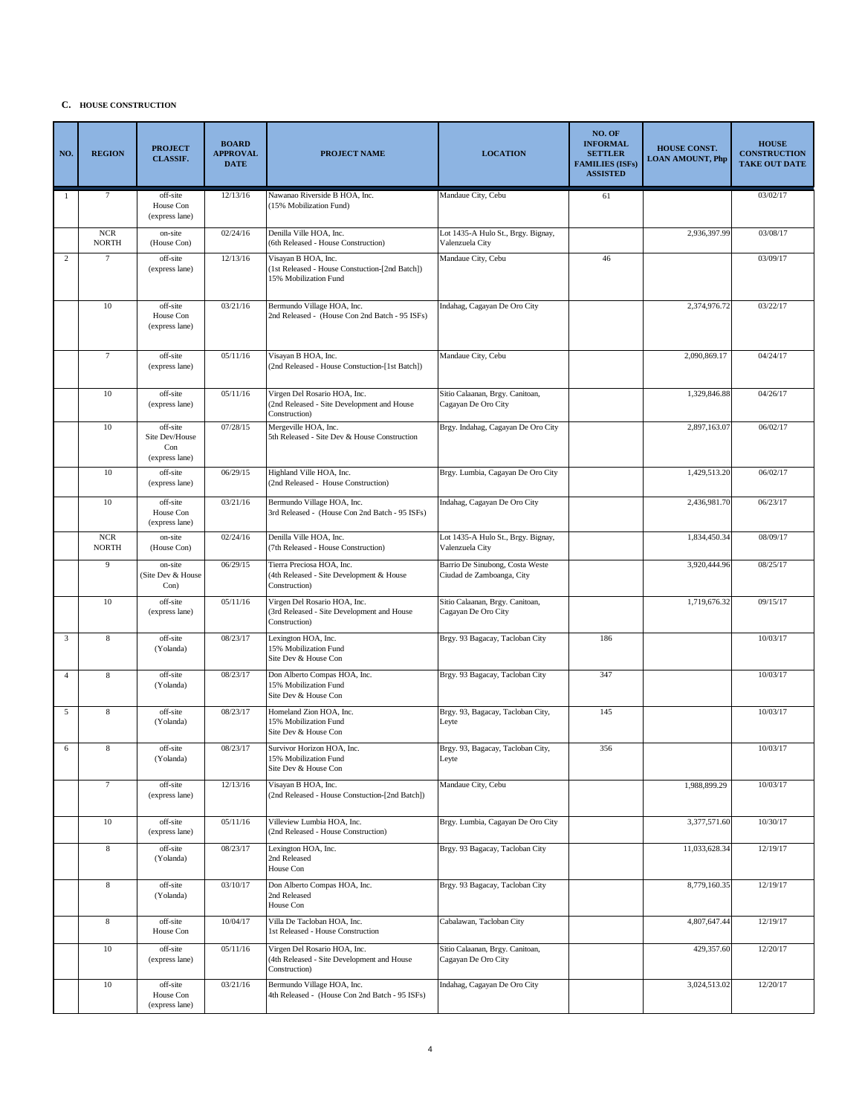#### **C. HOUSE CONSTRUCTION**

| NO.            | <b>REGION</b>                | <b>PROJECT</b><br><b>CLASSIF.</b>                   | <b>BOARD</b><br><b>APPROVAL</b><br><b>DATE</b> | <b>PROJECT NAME</b>                                                                            | <b>LOCATION</b>                                              | NO. OF<br><b>INFORMAL</b><br><b>SETTLER</b><br><b>FAMILIES (ISFs)</b><br><b>ASSISTED</b> | <b>HOUSE CONST.</b><br><b>LOAN AMOUNT, Php</b> | <b>HOUSE</b><br><b>CONSTRUCTION</b><br><b>TAKE OUT DATE</b> |
|----------------|------------------------------|-----------------------------------------------------|------------------------------------------------|------------------------------------------------------------------------------------------------|--------------------------------------------------------------|------------------------------------------------------------------------------------------|------------------------------------------------|-------------------------------------------------------------|
| 1              | 7                            | off-site<br>House Con<br>(express lane)             | 12/13/16                                       | Nawanao Riverside B HOA, Inc.<br>(15% Mobilization Fund)                                       | Mandaue City, Cebu                                           | 61                                                                                       |                                                | 03/02/17                                                    |
|                | $_{\rm NCR}$<br><b>NORTH</b> | on-site<br>(House Con)                              | 02/24/16                                       | Denilla Ville HOA, Inc.<br>(6th Released - House Construction)                                 | Lot 1435-A Hulo St., Brgy. Bignay,<br>Valenzuela City        |                                                                                          | 2,936,397.99                                   | 03/08/17                                                    |
| $\overline{2}$ | 7                            | off-site<br>(express lane)                          | 12/13/16                                       | Visayan B HOA, Inc.<br>(1st Released - House Constuction-[2nd Batch])<br>15% Mobilization Fund | Mandaue City, Cebu                                           | 46                                                                                       |                                                | 03/09/17                                                    |
|                | 10                           | off-site<br>House Con<br>(express lane)             | 03/21/16                                       | Bermundo Village HOA, Inc.<br>2nd Released - (House Con 2nd Batch - 95 ISFs)                   | Indahag, Cagayan De Oro City                                 |                                                                                          | 2,374,976.72                                   | 03/22/17                                                    |
|                | $\tau$                       | off-site<br>(express lane)                          | 05/11/16                                       | Visayan B HOA, Inc.<br>(2nd Released - House Constuction-[1st Batch])                          | Mandaue City, Cebu                                           |                                                                                          | 2,090,869.17                                   | 04/24/17                                                    |
|                | 10                           | off-site<br>(express lane)                          | 05/11/16                                       | Virgen Del Rosario HOA, Inc.<br>(2nd Released - Site Development and House<br>Construction)    | Sitio Calaanan, Brgy. Canitoan,<br>Cagayan De Oro City       |                                                                                          | 1,329,846.88                                   | 04/26/17                                                    |
|                | 10                           | off-site<br>Site Dev/House<br>Con<br>(express lane) | 07/28/15                                       | Mergeville HOA, Inc.<br>5th Released - Site Dev & House Construction                           | Brgy. Indahag, Cagayan De Oro City                           |                                                                                          | 2,897,163.07                                   | 06/02/17                                                    |
|                | 10                           | off-site<br>(express lane)                          | 06/29/15                                       | Highland Ville HOA, Inc.<br>(2nd Released - House Construction)                                | Brgy. Lumbia, Cagayan De Oro City                            |                                                                                          | 1,429,513.20                                   | 06/02/17                                                    |
|                | 10                           | off-site<br>House Con<br>(express lane)             | 03/21/16                                       | Bermundo Village HOA, Inc.<br>3rd Released - (House Con 2nd Batch - 95 ISFs)                   | Indahag, Cagayan De Oro City                                 |                                                                                          | 2,436,981.70                                   | 06/23/17                                                    |
|                | $_{\rm NCR}$<br><b>NORTH</b> | on-site<br>(House Con)                              | 02/24/16                                       | Denilla Ville HOA, Inc.<br>(7th Released - House Construction)                                 | Lot 1435-A Hulo St., Brgy. Bignay,<br>Valenzuela City        |                                                                                          | 1,834,450.34                                   | 08/09/17                                                    |
|                | 9                            | on-site<br>(Site Dev & House<br>Con)                | 06/29/15                                       | Tierra Preciosa HOA, Inc.<br>(4th Released - Site Development & House<br>Construction)         | Barrio De Sinubong, Costa Weste<br>Ciudad de Zamboanga, City |                                                                                          | 3,920,444.96                                   | 08/25/17                                                    |
|                | 10                           | off-site<br>(express lane)                          | 05/11/16                                       | Virgen Del Rosario HOA, Inc.<br>(3rd Released - Site Development and House<br>Construction)    | Sitio Calaanan, Brgy. Canitoan,<br>Cagayan De Oro City       |                                                                                          | 1,719,676.32                                   | 09/15/17                                                    |
| 3              | $\,$ 8 $\,$                  | off-site<br>(Yolanda)                               | 08/23/17                                       | Lexington HOA, Inc.<br>15% Mobilization Fund<br>Site Dev & House Con                           | Brgy. 93 Bagacay, Tacloban City                              | 186                                                                                      |                                                | 10/03/17                                                    |
| $\overline{4}$ | 8                            | off-site<br>(Yolanda)                               | 08/23/17                                       | Don Alberto Compas HOA, Inc.<br>15% Mobilization Fund<br>Site Dev & House Con                  | Brgy. 93 Bagacay, Tacloban City                              | 347                                                                                      |                                                | 10/03/17                                                    |
| 5              | 8                            | off-site<br>(Yolanda)                               | 08/23/17                                       | Homeland Zion HOA, Inc.<br>15% Mobilization Fund<br>Site Dev & House Con                       | Brgy. 93, Bagacay, Tacloban City,<br>Leyte                   | 145                                                                                      |                                                | 10/03/17                                                    |
| 6              | 8                            | off-site<br>(Yolanda)                               | 08/23/17                                       | Survivor Horizon HOA, Inc.<br>15% Mobilization Fund<br>Site Dev & House Con                    | Brgy. 93, Bagacay, Tacloban City,<br>Leyte                   | 356                                                                                      |                                                | 10/03/17                                                    |
|                | $\boldsymbol{7}$             | off-site<br>(express lane)                          | 12/13/16                                       | Visayan B HOA, Inc.<br>(2nd Released - House Constuction-[2nd Batch])                          | Mandaue City, Cebu                                           |                                                                                          | 1,988,899.29                                   | 10/03/17                                                    |
|                | 10                           | off-site<br>(express lane)                          | 05/11/16                                       | Villeview Lumbia HOA, Inc.<br>(2nd Released - House Construction)                              | Brgy. Lumbia, Cagayan De Oro City                            |                                                                                          | 3,377,571.60                                   | 10/30/17                                                    |
|                | $\,$ 8 $\,$                  | off-site<br>(Yolanda)                               | 08/23/17                                       | Lexington HOA, Inc.<br>2nd Released<br>House Con                                               | Brgy. 93 Bagacay, Tacloban City                              |                                                                                          | 11,033,628.34                                  | 12/19/17                                                    |
|                | $\,$ 8 $\,$                  | off-site<br>(Yolanda)                               | 03/10/17                                       | Don Alberto Compas HOA, Inc.<br>2nd Released<br>House Con                                      | Brgy. 93 Bagacay, Tacloban City                              |                                                                                          | 8,779,160.35                                   | 12/19/17                                                    |
|                | $\,$ 8 $\,$                  | off-site<br>House Con                               | 10/04/17                                       | Villa De Tacloban HOA, Inc.<br>1st Released - House Construction                               | Cabalawan, Tacloban City                                     |                                                                                          | 4,807,647.44                                   | 12/19/17                                                    |
|                | $10\,$                       | off-site<br>(express lane)                          | 05/11/16                                       | Virgen Del Rosario HOA, Inc.<br>(4th Released - Site Development and House<br>Construction)    | Sitio Calaanan, Brgy. Canitoan,<br>Cagayan De Oro City       |                                                                                          | 429,357.60                                     | 12/20/17                                                    |
|                | $10\,$                       | off-site<br>House Con<br>(express lane)             | 03/21/16                                       | Bermundo Village HOA, Inc.<br>4th Released - (House Con 2nd Batch - 95 ISFs)                   | Indahag, Cagayan De Oro City                                 |                                                                                          | 3,024,513.02                                   | 12/20/17                                                    |